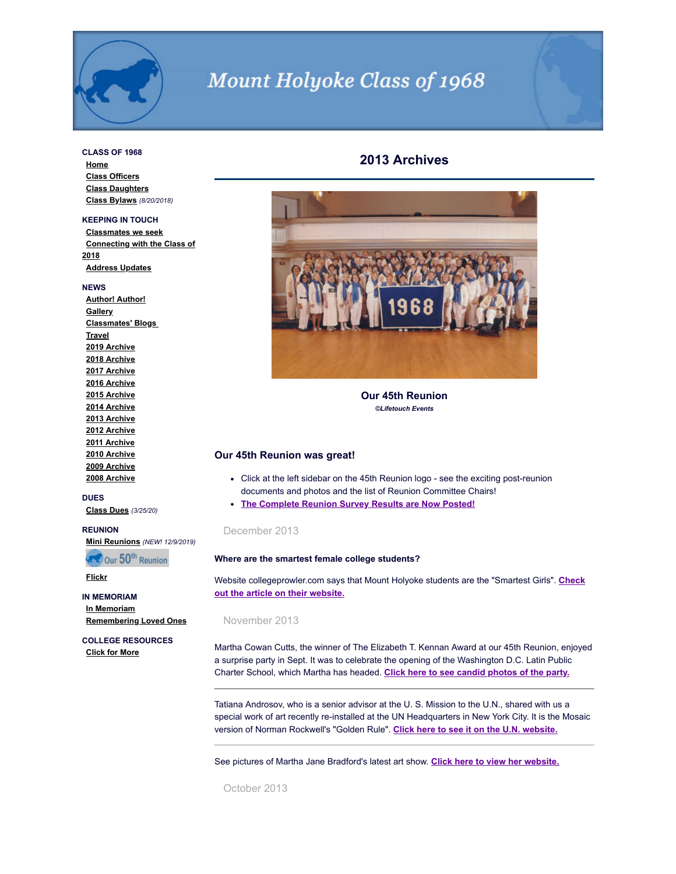

# Mount Holyoke Class of 1968

## **CLASS OF 1968**

**[Home](http://www.mhc1968.com/index.asp) [Class Officers](http://www.mhc1968.com/officers.asp) [Class Daughters](http://www.mhc1968.com/daughters.asp) [Class Bylaws](http://www.mhc1968.com/Bylaws.asp)** *(8/20/2018)*

## **KEEPING IN TOUCH**

**[Classmates we seek](http://www.mhc1968.com/lostclassmates.asp) [Connecting with the Class of](http://www.mhc1968.com/sisters.asp) 2018 [Address Updates](http://www.mhc1968.com/updates.asp)**

#### **NEWS**

**[Author! Author!](http://www.mhc1968.com/author.asp) [Gallery](http://www.mhc1968.com/gallery/gallery.asp) [Classmates' Blogs](http://www.mhc1968.com/blog.asp)  [Travel](http://www.mhc1968.com/travel.asp) [2019 Archive](http://www.mhc1968.com/archive2019.asp) [2018 Archive](http://www.mhc1968.com/archive2018.asp) [2017 Archive](http://www.mhc1968.com/archive2017.asp) [2016 Archive](http://www.mhc1968.com/archive2016.asp) [2015 Archive](http://www.mhc1968.com/archive2015.asp) [2014 Archive](http://www.mhc1968.com/archive2014.asp) [2013 Archive](http://www.mhc1968.com/archive2013.asp) [2012 Archive](http://www.mhc1968.com/archive2012.asp) [2011 Archive](http://www.mhc1968.com/archive2011.asp) [2010 Archive](http://www.mhc1968.com/archive2010.asp) [2009 Archive](http://www.mhc1968.com/archive2009.asp) [2008 Archive](http://www.mhc1968.com/archive2008.asp)**

#### **DUES**

**[Class Dues](http://www.mhc1968.com/dues.asp)** *(3/25/20)*

## **REUNION**

**[Mini Reunions](http://www.mhc1968.com/MiniReunions.asp)** *(NEW! 12/9/2019)*

**RECOUR 50th Reunion** 

**[Flickr](https://www.flickr.com/photos/162666628@N03/)**

#### **IN MEMORIAM**

**[In Memoriam](http://www.mhc1968.com/memoriam.asp) [Remembering Loved Ones](http://www.mhc1968.com/remember.asp)**

**COLLEGE RESOURCES [Click for More](http://www.mhc1968.com/resources.asp)**

## **2013 Archives**



**Our 45th Reunion** *©Lifetouch Events*

## **Our 45th Reunion was great!**

- Click at the left sidebar on the 45th Reunion logo see the exciting post-reunion documents and photos and the list of Reunion Committee Chairs!
- **The [Complete](http://www.mhc1968.com/reunion/survey2013.pdf) Reunion Survey Results are Now Posted!**

## December 2013

#### **Where are the smartest female college students?**

Website [collegeprowler.com](https://e.niche.com/pub/sf/FormLink?_ri_=X0Gzc2X%3DWQpglLjHJlYQGjfzfgctEsOGpEUcyChBsjgvYovt3fJ0zbofVXMtX%3DWQpglLjHJlYQGkzaBP7LzbU7ucSbBq3IczeM67zaBuezfWE8Gzaf&_ei_=En4eG-pWhfo9GTbZcc8vs-Q.) says that Mount Holyoke students are the "Smartest Girls". **Check out the article on their website.**

#### November 2013

Martha Cowan Cutts, the winner of The Elizabeth T. Kennan Award at our 45th Reunion, enjoyed a surprise party in Sept. It was to celebrate the opening of the Washington D.C. Latin Public Charter School, which Martha has headed. **Click here to see candid [photos](https://www.dropbox.com/sh/37bop55spjp4cee/4HgTn1E2c5) of the party.**

Tatiana Androsov, who is a senior advisor at the U. S. Mission to the U.N., shared with us a special work of art recently re-installed at the UN Headquarters in New York City. It is the Mosaic version of Norman Rockwell's "Golden Rule". **Click here to see it on the U.N. [website.](http://www.unmultimedia.org/s/photo/detail/313/0031379.html)**

See pictures of Martha Jane Bradford's latest art show. **Click here to view her [website.](http://www.marthavista.com/)**

October 2013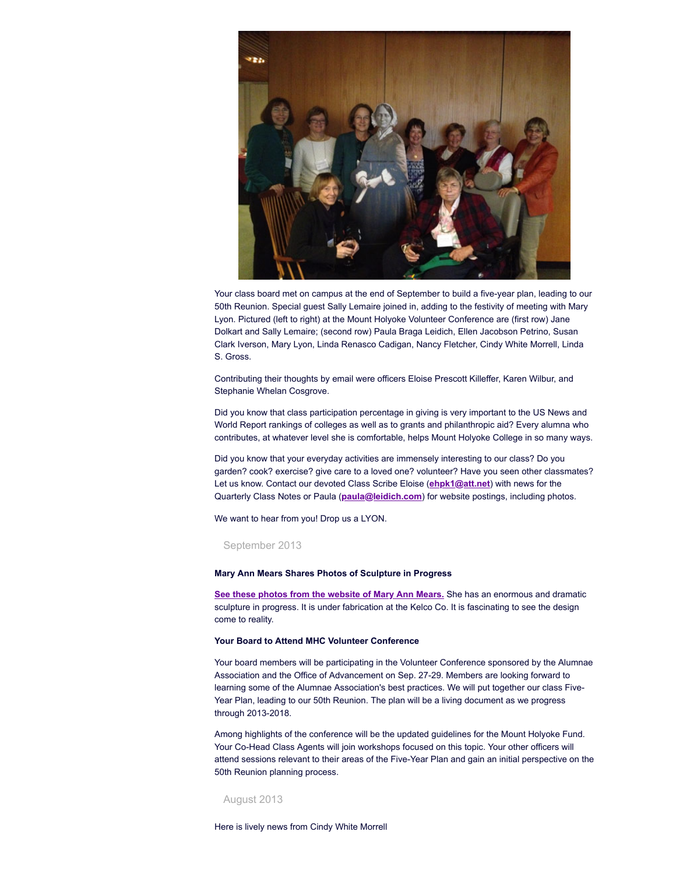

Your class board met on campus at the end of September to build a five-year plan, leading to our 50th Reunion. Special guest Sally Lemaire joined in, adding to the festivity of meeting with Mary Lyon. Pictured (left to right) at the Mount Holyoke Volunteer Conference are (first row) Jane Dolkart and Sally Lemaire; (second row) Paula Braga Leidich, Ellen Jacobson Petrino, Susan Clark Iverson, Mary Lyon, Linda Renasco Cadigan, Nancy Fletcher, Cindy White Morrell, Linda S. Gross.

Contributing their thoughts by email were officers Eloise Prescott Killeffer, Karen Wilbur, and Stephanie Whelan Cosgrove.

Did you know that class participation percentage in giving is very important to the US News and World Report rankings of colleges as well as to grants and philanthropic aid? Every alumna who contributes, at whatever level she is comfortable, helps Mount Holyoke College in so many ways.

Did you know that your everyday activities are immensely interesting to our class? Do you garden? cook? exercise? give care to a loved one? volunteer? Have you seen other classmates? Let us know. Contact our devoted Class Scribe Eloise (**[ehpk1@att.net](mailto:ehpk1@att.net%22)**) with news for the Quarterly Class Notes or Paula (**[paula@leidich.com](mailto:paula@leidich.com%22)**) for website postings, including photos.

We want to hear from you! Drop us a LYON.

#### September 2013

#### **Mary Ann Mears Shares Photos of Sculpture in Progress**

**See these photos from the [website](http://www.maryannmears.com/projects/spun-grace-progress) of Mary Ann Mears.** She has an enormous and dramatic sculpture in progress. It is under fabrication at the Kelco Co. It is fascinating to see the design come to reality.

#### **Your Board to Attend MHC Volunteer Conference**

Your board members will be participating in the Volunteer Conference sponsored by the Alumnae Association and the Office of Advancement on Sep. 27-29. Members are looking forward to learning some of the Alumnae Association's best practices. We will put together our class Five-Year Plan, leading to our 50th Reunion. The plan will be a living document as we progress through 2013-2018.

Among highlights of the conference will be the updated guidelines for the Mount Holyoke Fund. Your Co-Head Class Agents will join workshops focused on this topic. Your other officers will attend sessions relevant to their areas of the Five-Year Plan and gain an initial perspective on the 50th Reunion planning process.

## August 2013

Here is lively news from Cindy White Morrell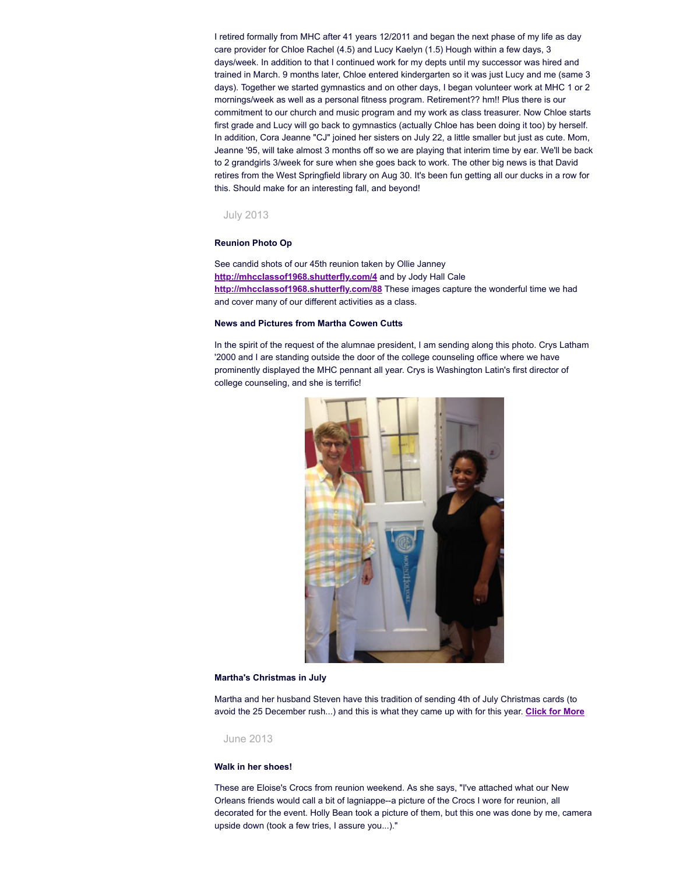I retired formally from MHC after 41 years 12/2011 and began the next phase of my life as day care provider for Chloe Rachel (4.5) and Lucy Kaelyn (1.5) Hough within a few days, 3 days/week. In addition to that I continued work for my depts until my successor was hired and trained in March. 9 months later, Chloe entered kindergarten so it was just Lucy and me (same 3 days). Together we started gymnastics and on other days, I began volunteer work at MHC 1 or 2 mornings/week as well as a personal fitness program. Retirement?? hm!! Plus there is our commitment to our church and music program and my work as class treasurer. Now Chloe starts first grade and Lucy will go back to gymnastics (actually Chloe has been doing it too) by herself. In addition, Cora Jeanne "CJ" joined her sisters on July 22, a little smaller but just as cute. Mom, Jeanne '95, will take almost 3 months off so we are playing that interim time by ear. We'll be back to 2 grandgirls 3/week for sure when she goes back to work. The other big news is that David retires from the West Springfield library on Aug 30. It's been fun getting all our ducks in a row for this. Should make for an interesting fall, and beyond!

## July 2013

## **Reunion Photo Op**

See candid shots of our 45th reunion taken by Ollie Janney **<http://mhcclassof1968.shutterfly.com/4>** and by Jody Hall Cale **<http://mhcclassof1968.shutterfly.com/88>** These images capture the wonderful time we had and cover many of our different activities as a class.

#### **News and Pictures from Martha Cowen Cutts**

In the spirit of the request of the alumnae president, I am sending along this photo. Crys Latham '2000 and I are standing outside the door of the college counseling office where we have prominently displayed the MHC pennant all year. Crys is Washington Latin's first director of college counseling, and she is terrific!



#### **Martha's Christmas in July**

Martha and her husband Steven have this tradition of sending 4th of July Christmas cards (to avoid the 25 December rush...) and this is what they came up with for this year. **[Click](http://www.mhc1968.com/images/070113.pdf) for More**

June 2013

### **Walk in her shoes!**

These are Eloise's Crocs from reunion weekend. As she says, "I've attached what our New Orleans friends would call a bit of lagniappe--a picture of the Crocs I wore for reunion, all decorated for the event. Holly Bean took a picture of them, but this one was done by me, camera upside down (took a few tries, I assure you...)."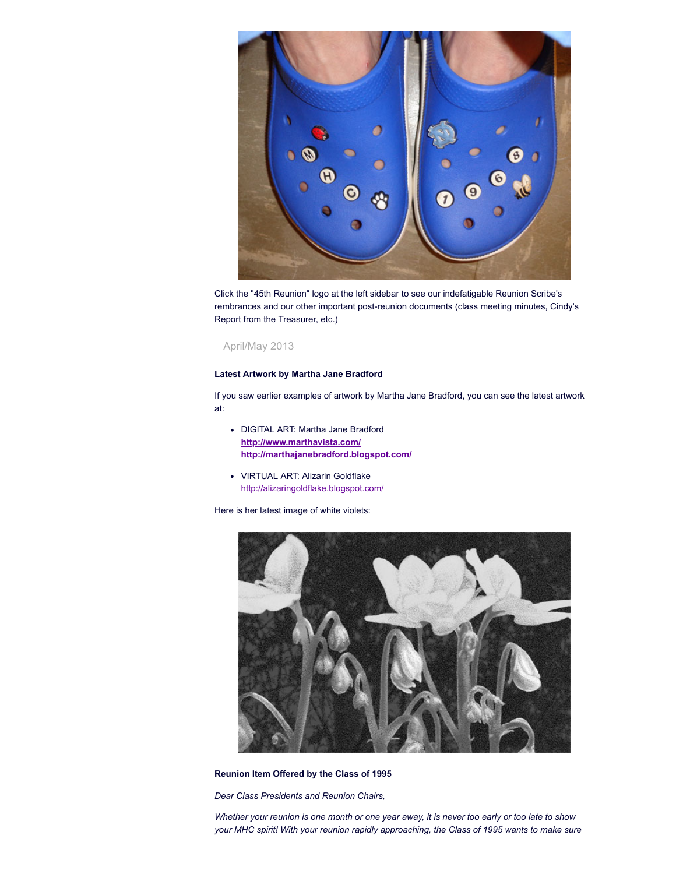

Click the "45th Reunion" logo at the left sidebar to see our indefatigable Reunion Scribe's rembrances and our other important post-reunion documents (class meeting minutes, Cindy's Report from the Treasurer, etc.)

## April/May 2013

## **Latest Artwork by Martha Jane Bradford**

If you saw earlier examples of artwork by Martha Jane Bradford, you can see the latest artwork at:

- DIGITAL ART: Martha Jane Bradford **<http://www.marthavista.com/> <http://marthajanebradford.blogspot.com/>**
- VIRTUAL ART: Alizarin Goldflake http://alizaringoldflake.blogspot.com/

Here is her latest image of white violets:



**Reunion Item Offered by the Class of 1995**

*Dear Class Presidents and Reunion Chairs,*

Whether your reunion is one month or one year away, it is never too early or too late to show *your MHC spirit! With your reunion rapidly approaching, the Class of 1995 wants to make sure*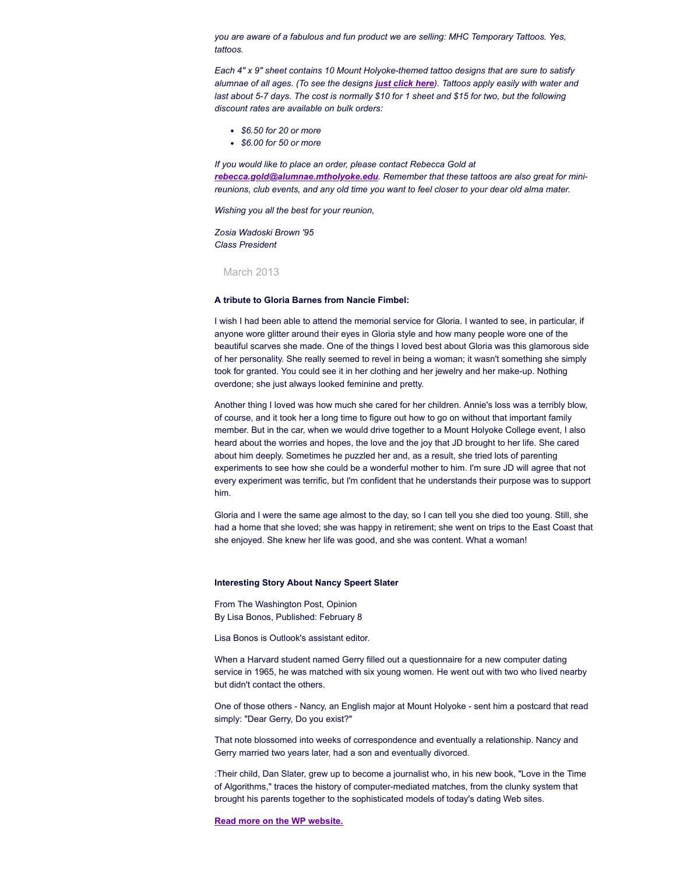*you are aware of a fabulous and fun product we are selling: MHC Temporary Tattoos. Yes, tattoos.*

*Each 4" x 9" sheet contains 10 Mount Holyoke-themed tattoo designs that are sure to satisfy alumnae of all ages. (To see the designs just [click](http://alumnae.mtholyoke.edu/blog/class-of-1995/) here). Tattoos apply easily with water and* last about 5-7 days. The cost is normally \$10 for 1 sheet and \$15 for two, but the following *discount rates are available on bulk orders:*

- *\$6.50 for 20 or more*
- *\$6.00 for 50 or more*

*If you would like to place an order, please contact Rebecca Gold at [rebecca.gold@alumnae.mtholyoke.edu](mailto:rebecca.gold@alumnae.mtholyoke.edu). Remember that these tattoos are also great for minireunions, club events, and any old time you want to feel closer to your dear old alma mater.*

*Wishing you all the best for your reunion,*

*Zosia Wadoski Brown '95 Class President*

March 2013

#### **A tribute to Gloria Barnes from Nancie Fimbel:**

I wish I had been able to attend the memorial service for Gloria. I wanted to see, in particular, if anyone wore glitter around their eyes in Gloria style and how many people wore one of the beautiful scarves she made. One of the things I loved best about Gloria was this glamorous side of her personality. She really seemed to revel in being a woman; it wasn't something she simply took for granted. You could see it in her clothing and her jewelry and her make-up. Nothing overdone; she just always looked feminine and pretty.

Another thing I loved was how much she cared for her children. Annie's loss was a terribly blow, of course, and it took her a long time to figure out how to go on without that important family member. But in the car, when we would drive together to a Mount Holyoke College event, I also heard about the worries and hopes, the love and the joy that JD brought to her life. She cared about him deeply. Sometimes he puzzled her and, as a result, she tried lots of parenting experiments to see how she could be a wonderful mother to him. I'm sure JD will agree that not every experiment was terrific, but I'm confident that he understands their purpose was to support him.

Gloria and I were the same age almost to the day, so I can tell you she died too young. Still, she had a home that she loved; she was happy in retirement; she went on trips to the East Coast that she enjoyed. She knew her life was good, and she was content. What a woman!

#### **Interesting Story About Nancy Speert Slater**

From The Washington Post, Opinion By Lisa Bonos, Published: February 8

Lisa Bonos is Outlook's assistant editor.

When a Harvard student named Gerry filled out a questionnaire for a new computer dating service in 1965, he was matched with six young women. He went out with two who lived nearby but didn't contact the others.

One of those others - Nancy, an English major at Mount Holyoke - sent him a postcard that read simply: "Dear Gerry, Do you exist?"

That note blossomed into weeks of correspondence and eventually a relationship. Nancy and Gerry married two years later, had a son and eventually divorced.

:Their child, Dan Slater, grew up to become a journalist who, in his new book, "Love in the Time of Algorithms," traces the history of computer-mediated matches, from the clunky system that brought his parents together to the sophisticated models of today's dating Web sites.

**Read more on the WP [website.](http://www.washingtonpost.com/opinions/online-love-isnt-a-battlefield-its-a-marketplace/2013/02/07/0801ba26-6ed7-11e2-8b8d-e0b59a1b8e2a_story_1.html)**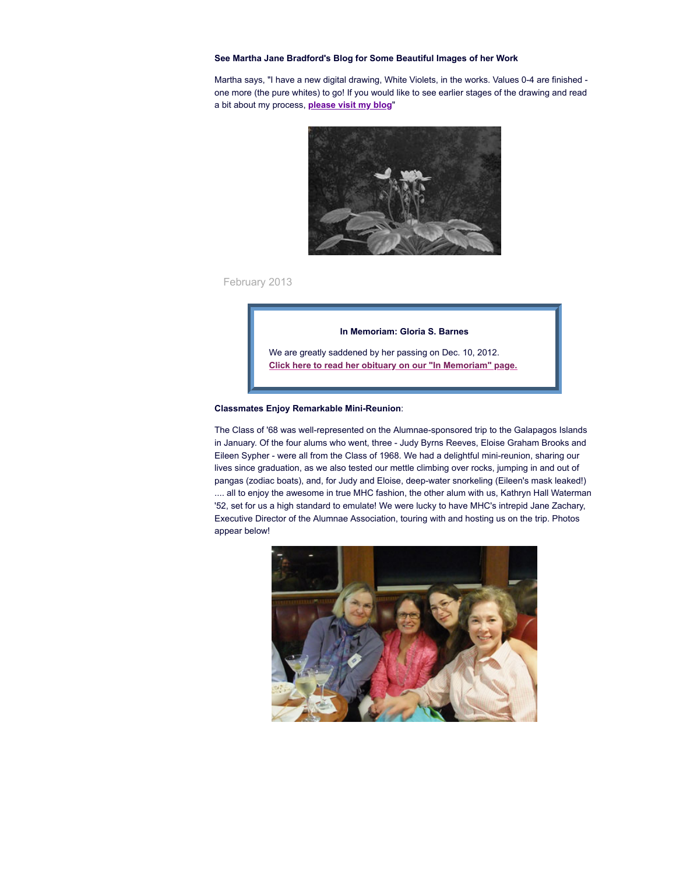#### **See Martha Jane Bradford's Blog for Some Beautiful Images of her Work**

Martha says, "I have a new digital drawing, White Violets, in the works. Values 0-4 are finished one more (the pure whites) to go! If you would like to see earlier stages of the drawing and read a bit about my process, **[please](http://marthajanebradford.blogspot.com/) visit my blog**"



February 2013



## **Classmates Enjoy Remarkable Mini-Reunion**:

The Class of '68 was well-represented on the Alumnae-sponsored trip to the Galapagos Islands in January. Of the four alums who went, three - Judy Byrns Reeves, Eloise Graham Brooks and Eileen Sypher - were all from the Class of 1968. We had a delightful mini-reunion, sharing our lives since graduation, as we also tested our mettle climbing over rocks, jumping in and out of pangas (zodiac boats), and, for Judy and Eloise, deep-water snorkeling (Eileen's mask leaked!) .... all to enjoy the awesome in true MHC fashion, the other alum with us, Kathryn Hall Waterman '52, set for us a high standard to emulate! We were lucky to have MHC's intrepid Jane Zachary, Executive Director of the Alumnae Association, touring with and hosting us on the trip. Photos appear below!

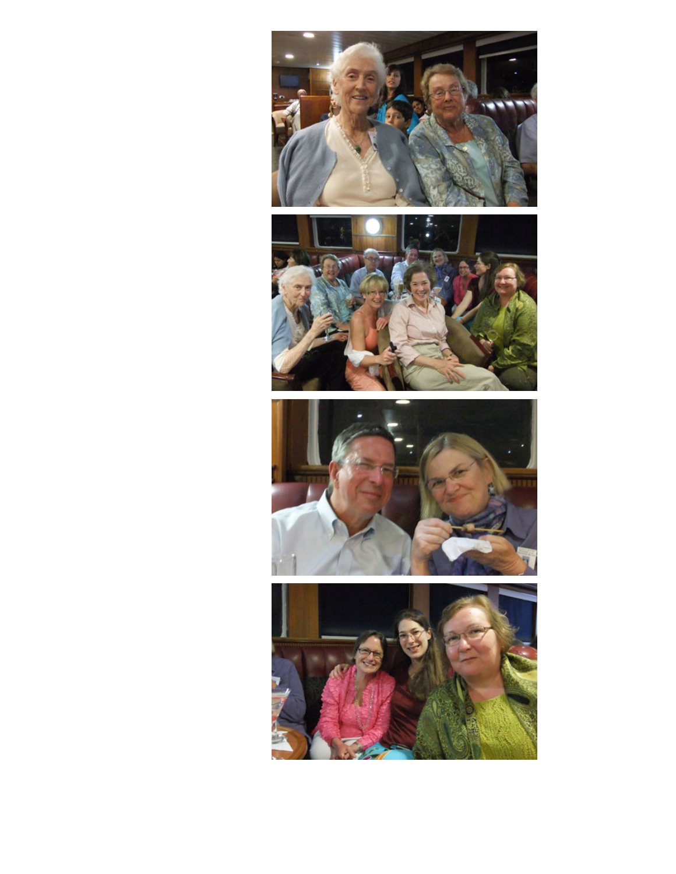